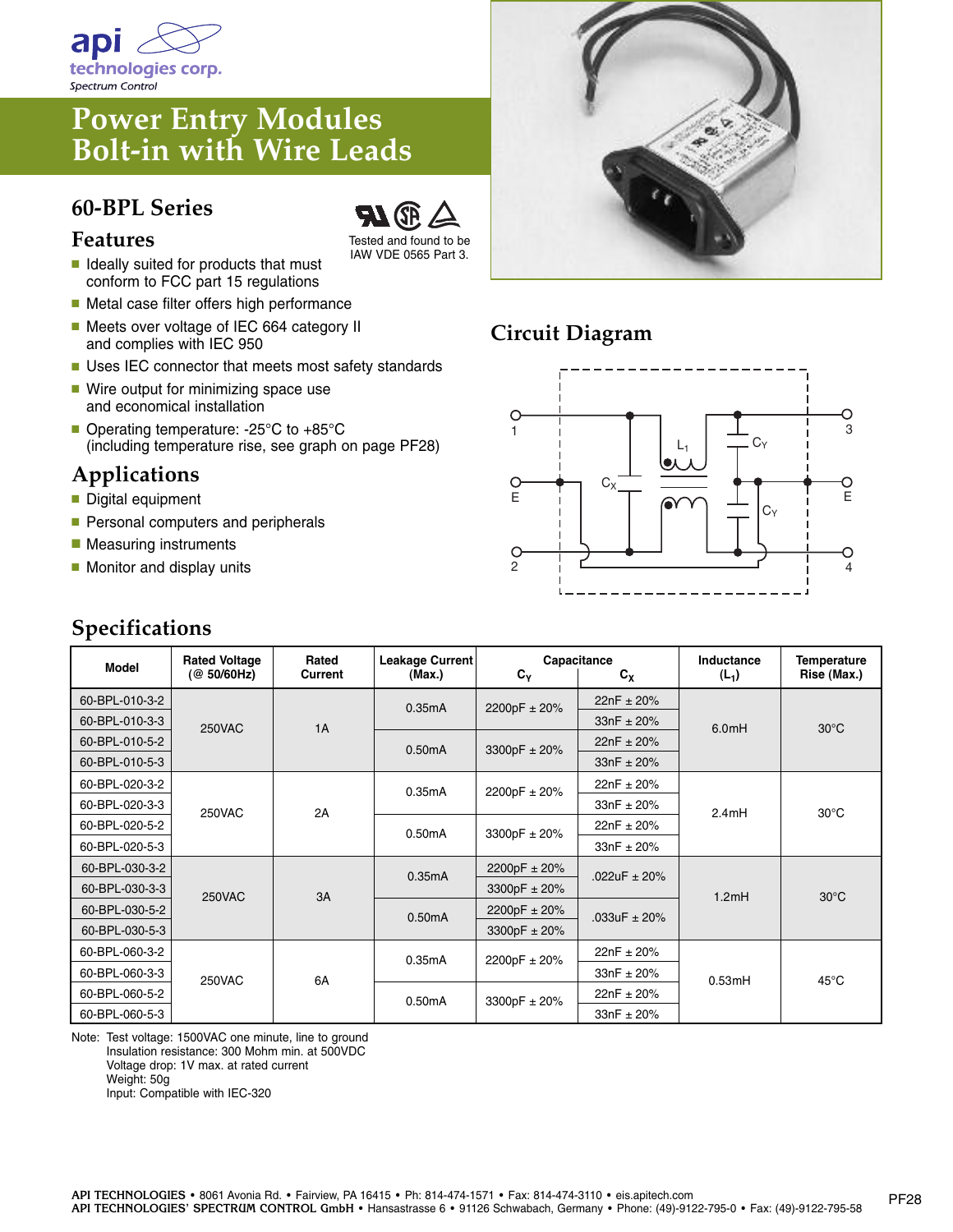

# **Power Entry Modules Bolt-in with Wire Leads**

#### **60-BPL Series**



- **■** Ideally suited for products that must conform to FCC part 15 regulations
- Metal case filter offers high performance
- Meets over voltage of IEC 664 category II and complies with IEC 950
- Uses IEC connector that meets most safety standards

Tested and found to be IAW VDE 0565 Part 3.

- Wire output for minimizing space use and economical installation
- Operating temperature: -25°C to +85°C (including temperature rise, see graph on page PF28)

### **Applications**

- Digital equipment
- Personal computers and peripherals
- Measuring instruments
- Monitor and display units



### **Circuit Diagram**



| <b>Model</b>   | <b>Rated Voltage</b><br>(@ 50/60Hz) | Rated<br>Current | Leakage Current<br>(Max.) | Capacitance<br>$C_{Y}$<br>$c_{x}$ |                  | Inductance<br>$(L_1)$ | <b>Temperature</b><br>Rise (Max.) |
|----------------|-------------------------------------|------------------|---------------------------|-----------------------------------|------------------|-----------------------|-----------------------------------|
| 60-BPL-010-3-2 | <b>250VAC</b>                       | 1A               | 0.35mA                    | 2200pF ± 20%                      | $22nF \pm 20%$   | 6.0 <sub>m</sub> H    | $30^{\circ}$ C                    |
| 60-BPL-010-3-3 |                                     |                  |                           |                                   | $33nF \pm 20%$   |                       |                                   |
| 60-BPL-010-5-2 |                                     |                  | 0.50mA                    | 3300pF $\pm$ 20%                  | $22nF \pm 20%$   |                       |                                   |
| 60-BPL-010-5-3 |                                     |                  |                           |                                   | $33nF \pm 20%$   |                       |                                   |
| 60-BPL-020-3-2 | <b>250VAC</b>                       | 2A               | 0.35mA                    | 2200pF ± 20%                      | $22nF \pm 20%$   | 2.4mH                 | $30^{\circ}$ C                    |
| 60-BPL-020-3-3 |                                     |                  |                           |                                   | $33nF \pm 20%$   |                       |                                   |
| 60-BPL-020-5-2 |                                     |                  | 0.50mA                    | 3300pF ± 20%                      | $22nF \pm 20%$   |                       |                                   |
| 60-BPL-020-5-3 |                                     |                  |                           |                                   | $33nF + 20%$     |                       |                                   |
| 60-BPL-030-3-2 | 250VAC                              | 3A               | 0.35mA                    | 2200pF ± 20%                      | .022uF $\pm$ 20% | 1.2mH                 | $30^{\circ}$ C                    |
| 60-BPL-030-3-3 |                                     |                  |                           | 3300pF ± 20%                      |                  |                       |                                   |
| 60-BPL-030-5-2 |                                     |                  | 0.50mA                    | 2200pF ± 20%                      | .033uF $\pm$ 20% |                       |                                   |
| 60-BPL-030-5-3 |                                     |                  |                           | 3300pF ± 20%                      |                  |                       |                                   |
| 60-BPL-060-3-2 | 250VAC                              | 6A               | 0.35mA                    | 2200pF ± 20%                      | $22nF \pm 20%$   | 0.53mH                | $45^{\circ}$ C                    |
| 60-BPL-060-3-3 |                                     |                  |                           |                                   | $33nF + 20%$     |                       |                                   |
| 60-BPL-060-5-2 |                                     |                  | 0.50mA                    | 3300pF ± 20%                      | $22nF \pm 20%$   |                       |                                   |
| 60-BPL-060-5-3 |                                     |                  |                           |                                   | $33nF + 20%$     |                       |                                   |

Note: Test voltage: 1500VAC one minute, line to ground Insulation resistance: 300 Mohm min. at 500VDC Voltage drop: 1V max. at rated current Weight: 50g Input: Compatible with IEC-320

## **Specifications**